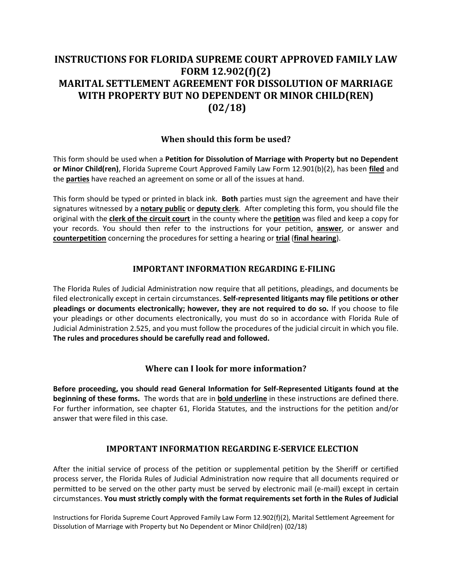# **INSTRUCTIONS FOR FLORIDA SUPREME COURT APPROVED FAMILY LAW FORM 12.902(f)(2) MARITAL SETTLEMENT AGREEMENT FOR DISSOLUTION OF MARRIAGE WITH PROPERTY BUT NO DEPENDENT OR MINOR CHILD(REN) (02/18)**

## **When should this form be used?**

This form should be used when a **Petition for Dissolution of Marriage with Property but no Dependent or Minor Child(ren)**, Florida Supreme Court Approved Family Law Form 12.901(b)(2), has been **filed** and the **parties** have reached an agreement on some or all of the issues at hand.

This form should be typed or printed in black ink. **Both** parties must sign the agreement and have their signatures witnessed by a **notary public** or **deputy clerk**. After completing this form, you should file the original with the **clerk of the circuit court** in the county where the **petition** was filed and keep a copy for your records. You should then refer to the instructions for your petition, **answer**, or answer and **counterpetition** concerning the procedures for setting a hearing or **trial** (**final hearing**).

### **IMPORTANT INFORMATION REGARDING E-FILING**

The Florida Rules of Judicial Administration now require that all petitions, pleadings, and documents be filed electronically except in certain circumstances. **Self-represented litigants may file petitions or other pleadings or documents electronically; however, they are not required to do so.** If you choose to file your pleadings or other documents electronically, you must do so in accordance with Florida Rule of Judicial Administration 2.525, and you must follow the procedures of the judicial circuit in which you file. **The rules and procedures should be carefully read and followed.**

# **Where can I look for more information?**

**Before proceeding, you should read General Information for Self-Represented Litigants found at the beginning of these forms.** The words that are in **bold underline** in these instructions are defined there. For further information, see chapter 61, Florida Statutes, and the instructions for the petition and/or answer that were filed in this case.

### **IMPORTANT INFORMATION REGARDING E-SERVICE ELECTION**

After the initial service of process of the petition or supplemental petition by the Sheriff or certified process server, the Florida Rules of Judicial Administration now require that all documents required or permitted to be served on the other party must be served by electronic mail (e-mail) except in certain circumstances. **You must strictly comply with the format requirements set forth in the Rules of Judicial**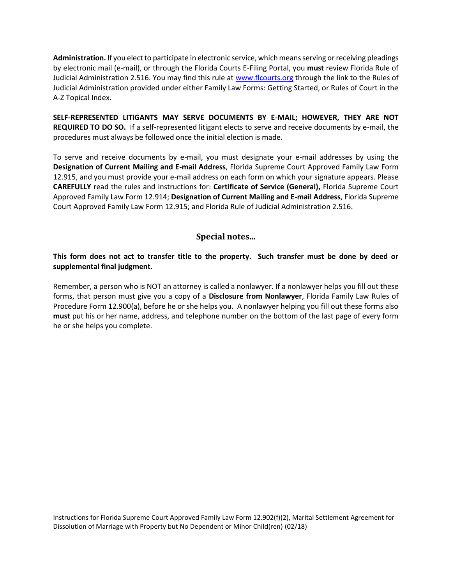**Administration.** If you elect to participate in electronic service, which means serving or receiving pleadings by electronic mail (e-mail), or through the Florida Courts E-Filing Portal, you **must** review Florida Rule of Judicial Administration 2.516. You may find this rule at [www.flcourts.org](http://www.flcourts.org/) through the link to the Rules of Judicial Administration provided under either Family Law Forms: Getting Started, or Rules of Court in the A-Z Topical Index.

**SELF-REPRESENTED LITIGANTS MAY SERVE DOCUMENTS BY E-MAIL; HOWEVER, THEY ARE NOT REQUIRED TO DO SO.** If a self-represented litigant elects to serve and receive documents by e-mail, the procedures must always be followed once the initial election is made.

To serve and receive documents by e-mail, you must designate your e-mail addresses by using the **Designation of Current Mailing and E-mail Address**, Florida Supreme Court Approved Family Law Form 12.915, and you must provide your e-mail address on each form on which your signature appears. Please **CAREFULLY** read the rules and instructions for: **Certificate of Service (General),** Florida Supreme Court Approved Family Law Form 12.914; **Designation of Current Mailing and E-mail Address**, Florida Supreme Court Approved Family Law Form 12.915; and Florida Rule of Judicial Administration 2.516.

## **Special notes...**

#### **This form does not act to transfer title to the property. Such transfer must be done by deed or supplemental final judgment.**

Remember, a person who is NOT an attorney is called a nonlawyer. If a nonlawyer helps you fill out these forms, that person must give you a copy of a **Disclosure from Nonlawyer**, Florida Family Law Rules of Procedure Form 12.900(a), before he or she helps you. A nonlawyer helping you fill out these forms also **must** put his or her name, address, and telephone number on the bottom of the last page of every form he or she helps you complete.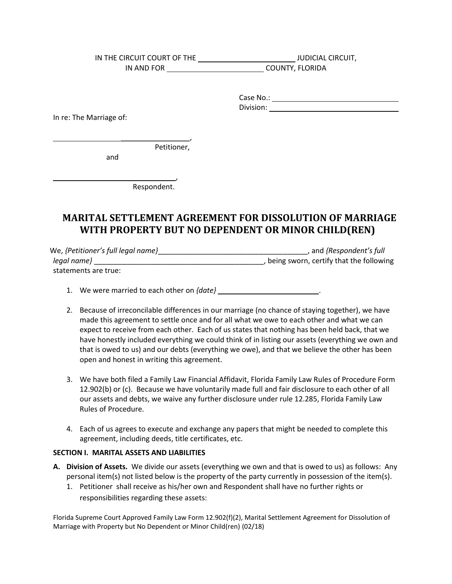IN THE CIRCUIT COURT OF THE \_\_\_\_\_\_\_\_\_\_\_\_\_\_\_\_\_\_\_\_\_\_\_\_\_\_\_\_\_\_\_\_\_\_JUDICIAL CIRCUIT, IN AND FOR COUNTY, FLORIDA

Case No.: Division:

In re: The Marriage of:

Petitioner,

and

\_\_\_\_\_\_\_\_\_\_\_\_\_\_,

\_\_\_\_\_\_\_\_\_\_\_\_\_\_\_\_\_,

Respondent.

# **MARITAL SETTLEMENT AGREEMENT FOR DISSOLUTION OF MARRIAGE WITH PROPERTY BUT NO DEPENDENT OR MINOR CHILD(REN)**

| We, {Petitioner's full legal name} | and {Respondent's full                  |
|------------------------------------|-----------------------------------------|
| legal name}                        | being sworn, certify that the following |
| statements are true:               |                                         |

- 1. We were married to each other on *{date}* .
- 2. Because of irreconcilable differences in our marriage (no chance of staying together), we have made this agreement to settle once and for all what we owe to each other and what we can expect to receive from each other. Each of us states that nothing has been held back, that we have honestly included everything we could think of in listing our assets (everything we own and that is owed to us) and our debts (everything we owe), and that we believe the other has been open and honest in writing this agreement.
- 3. We have both filed a Family Law Financial Affidavit, Florida Family Law Rules of Procedure Form 12.902(b) or (c). Because we have voluntarily made full and fair disclosure to each other of all our assets and debts, we waive any further disclosure under rule 12.285, Florida Family Law Rules of Procedure.
- 4. Each of us agrees to execute and exchange any papers that might be needed to complete this agreement, including deeds, title certificates, etc.

#### **SECTION I. MARITAL ASSETS AND LIABILITIES**

- **A. Division of Assets.** We divide our assets (everything we own and that is owed to us) as follows: Any personal item(s) not listed below is the property of the party currently in possession of the item(s).
	- 1. Petitioner shall receive as his/her own and Respondent shall have no further rights or responsibilities regarding these assets: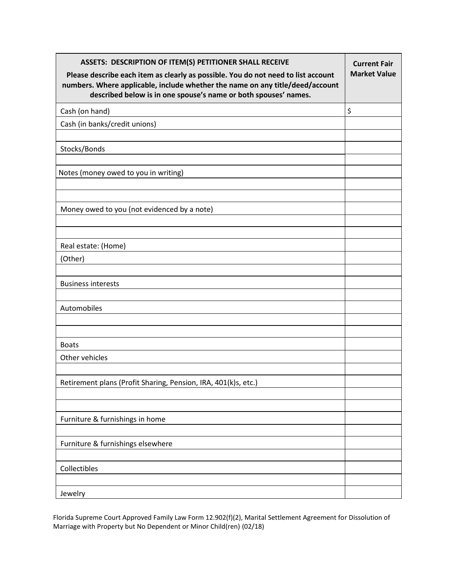| ASSETS: DESCRIPTION OF ITEM(S) PETITIONER SHALL RECEIVE<br>Please describe each item as clearly as possible. You do not need to list account<br>numbers. Where applicable, include whether the name on any title/deed/account<br>described below is in one spouse's name or both spouses' names. | <b>Current Fair</b><br><b>Market Value</b> |
|--------------------------------------------------------------------------------------------------------------------------------------------------------------------------------------------------------------------------------------------------------------------------------------------------|--------------------------------------------|
| Cash (on hand)                                                                                                                                                                                                                                                                                   | \$                                         |
| Cash (in banks/credit unions)                                                                                                                                                                                                                                                                    |                                            |
|                                                                                                                                                                                                                                                                                                  |                                            |
| Stocks/Bonds                                                                                                                                                                                                                                                                                     |                                            |
| Notes (money owed to you in writing)                                                                                                                                                                                                                                                             |                                            |
|                                                                                                                                                                                                                                                                                                  |                                            |
|                                                                                                                                                                                                                                                                                                  |                                            |
| Money owed to you (not evidenced by a note)                                                                                                                                                                                                                                                      |                                            |
|                                                                                                                                                                                                                                                                                                  |                                            |
| Real estate: (Home)                                                                                                                                                                                                                                                                              |                                            |
| (Other)                                                                                                                                                                                                                                                                                          |                                            |
|                                                                                                                                                                                                                                                                                                  |                                            |
| <b>Business interests</b>                                                                                                                                                                                                                                                                        |                                            |
|                                                                                                                                                                                                                                                                                                  |                                            |
| Automobiles                                                                                                                                                                                                                                                                                      |                                            |
|                                                                                                                                                                                                                                                                                                  |                                            |
|                                                                                                                                                                                                                                                                                                  |                                            |
| <b>Boats</b>                                                                                                                                                                                                                                                                                     |                                            |
| Other vehicles                                                                                                                                                                                                                                                                                   |                                            |
| Retirement plans (Profit Sharing, Pension, IRA, 401(k)s, etc.)                                                                                                                                                                                                                                   |                                            |
|                                                                                                                                                                                                                                                                                                  |                                            |
|                                                                                                                                                                                                                                                                                                  |                                            |
| Furniture & furnishings in home                                                                                                                                                                                                                                                                  |                                            |
|                                                                                                                                                                                                                                                                                                  |                                            |
| Furniture & furnishings elsewhere                                                                                                                                                                                                                                                                |                                            |
|                                                                                                                                                                                                                                                                                                  |                                            |
| Collectibles                                                                                                                                                                                                                                                                                     |                                            |
|                                                                                                                                                                                                                                                                                                  |                                            |
| Jewelry                                                                                                                                                                                                                                                                                          |                                            |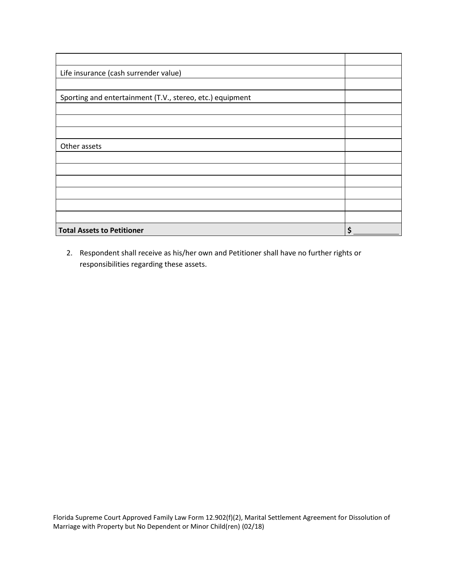| Life insurance (cash surrender value)                     |   |
|-----------------------------------------------------------|---|
|                                                           |   |
| Sporting and entertainment (T.V., stereo, etc.) equipment |   |
|                                                           |   |
|                                                           |   |
|                                                           |   |
| Other assets                                              |   |
|                                                           |   |
|                                                           |   |
|                                                           |   |
|                                                           |   |
|                                                           |   |
|                                                           |   |
| <b>Total Assets to Petitioner</b>                         | ¢ |

2. Respondent shall receive as his/her own and Petitioner shall have no further rights or responsibilities regarding these assets.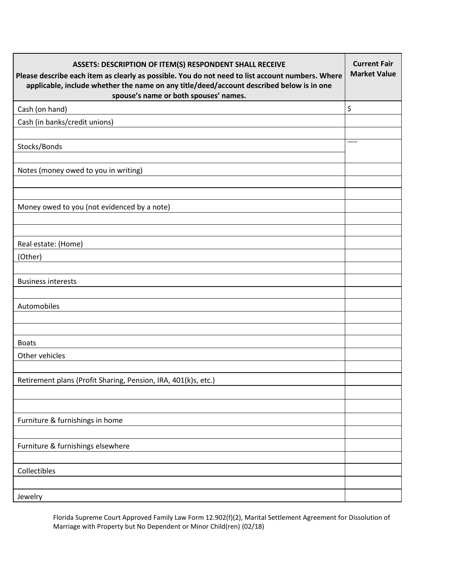| ASSETS: DESCRIPTION OF ITEM(S) RESPONDENT SHALL RECEIVE<br>Please describe each item as clearly as possible. You do not need to list account numbers. Where<br>applicable, include whether the name on any title/deed/account described below is in one<br>spouse's name or both spouses' names. | <b>Current Fair</b><br><b>Market Value</b> |
|--------------------------------------------------------------------------------------------------------------------------------------------------------------------------------------------------------------------------------------------------------------------------------------------------|--------------------------------------------|
| Cash (on hand)                                                                                                                                                                                                                                                                                   | \$                                         |
| Cash (in banks/credit unions)                                                                                                                                                                                                                                                                    |                                            |
|                                                                                                                                                                                                                                                                                                  |                                            |
| Stocks/Bonds                                                                                                                                                                                                                                                                                     |                                            |
| Notes (money owed to you in writing)                                                                                                                                                                                                                                                             |                                            |
|                                                                                                                                                                                                                                                                                                  |                                            |
|                                                                                                                                                                                                                                                                                                  |                                            |
| Money owed to you (not evidenced by a note)                                                                                                                                                                                                                                                      |                                            |
|                                                                                                                                                                                                                                                                                                  |                                            |
|                                                                                                                                                                                                                                                                                                  |                                            |
| Real estate: (Home)                                                                                                                                                                                                                                                                              |                                            |
| (Other)                                                                                                                                                                                                                                                                                          |                                            |
|                                                                                                                                                                                                                                                                                                  |                                            |
| <b>Business interests</b>                                                                                                                                                                                                                                                                        |                                            |
|                                                                                                                                                                                                                                                                                                  |                                            |
| Automobiles                                                                                                                                                                                                                                                                                      |                                            |
|                                                                                                                                                                                                                                                                                                  |                                            |
| <b>Boats</b>                                                                                                                                                                                                                                                                                     |                                            |
| Other vehicles                                                                                                                                                                                                                                                                                   |                                            |
|                                                                                                                                                                                                                                                                                                  |                                            |
| Retirement plans (Profit Sharing, Pension, IRA, 401(k)s, etc.)                                                                                                                                                                                                                                   |                                            |
|                                                                                                                                                                                                                                                                                                  |                                            |
|                                                                                                                                                                                                                                                                                                  |                                            |
| Furniture & furnishings in home                                                                                                                                                                                                                                                                  |                                            |
|                                                                                                                                                                                                                                                                                                  |                                            |
| Furniture & furnishings elsewhere                                                                                                                                                                                                                                                                |                                            |
|                                                                                                                                                                                                                                                                                                  |                                            |
| Collectibles                                                                                                                                                                                                                                                                                     |                                            |
|                                                                                                                                                                                                                                                                                                  |                                            |
| Jewelry                                                                                                                                                                                                                                                                                          |                                            |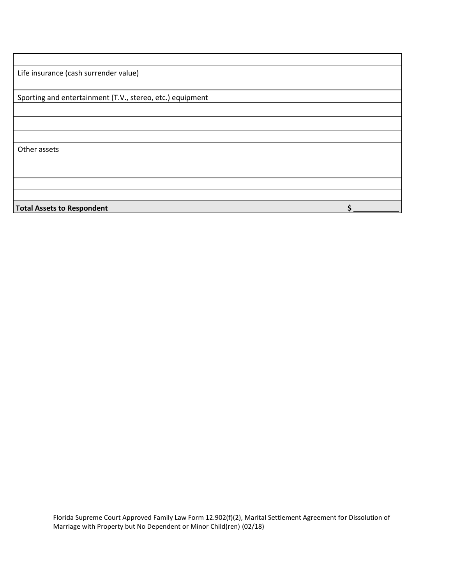| Life insurance (cash surrender value)                     |  |
|-----------------------------------------------------------|--|
|                                                           |  |
| Sporting and entertainment (T.V., stereo, etc.) equipment |  |
|                                                           |  |
|                                                           |  |
|                                                           |  |
| Other assets                                              |  |
|                                                           |  |
|                                                           |  |
|                                                           |  |
|                                                           |  |
| <b>Total Assets to Respondent</b>                         |  |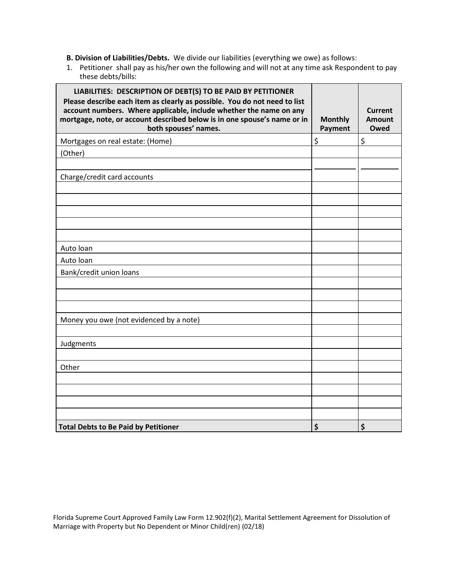**B. Division of Liabilities/Debts.** We divide our liabilities (everything we owe) as follows:

1. Petitioner shall pay as his/her own the following and will not at any time ask Respondent to pay these debts/bills:

| LIABILITIES: DESCRIPTION OF DEBT(S) TO BE PAID BY PETITIONER<br>Please describe each item as clearly as possible. You do not need to list<br>account numbers. Where applicable, include whether the name on any<br>mortgage, note, or account described below is in one spouse's name or in<br>both spouses' names. | <b>Monthly</b><br>Payment | <b>Current</b><br><b>Amount</b><br>Owed |
|---------------------------------------------------------------------------------------------------------------------------------------------------------------------------------------------------------------------------------------------------------------------------------------------------------------------|---------------------------|-----------------------------------------|
| Mortgages on real estate: (Home)                                                                                                                                                                                                                                                                                    | \$                        | \$                                      |
| (Other)                                                                                                                                                                                                                                                                                                             |                           |                                         |
|                                                                                                                                                                                                                                                                                                                     |                           |                                         |
| Charge/credit card accounts                                                                                                                                                                                                                                                                                         |                           |                                         |
|                                                                                                                                                                                                                                                                                                                     |                           |                                         |
|                                                                                                                                                                                                                                                                                                                     |                           |                                         |
|                                                                                                                                                                                                                                                                                                                     |                           |                                         |
|                                                                                                                                                                                                                                                                                                                     |                           |                                         |
|                                                                                                                                                                                                                                                                                                                     |                           |                                         |
| Auto loan                                                                                                                                                                                                                                                                                                           |                           |                                         |
| Auto loan                                                                                                                                                                                                                                                                                                           |                           |                                         |
| Bank/credit union loans                                                                                                                                                                                                                                                                                             |                           |                                         |
|                                                                                                                                                                                                                                                                                                                     |                           |                                         |
|                                                                                                                                                                                                                                                                                                                     |                           |                                         |
|                                                                                                                                                                                                                                                                                                                     |                           |                                         |
| Money you owe (not evidenced by a note)                                                                                                                                                                                                                                                                             |                           |                                         |
|                                                                                                                                                                                                                                                                                                                     |                           |                                         |
| Judgments                                                                                                                                                                                                                                                                                                           |                           |                                         |
|                                                                                                                                                                                                                                                                                                                     |                           |                                         |
| Other                                                                                                                                                                                                                                                                                                               |                           |                                         |
|                                                                                                                                                                                                                                                                                                                     |                           |                                         |
|                                                                                                                                                                                                                                                                                                                     |                           |                                         |
|                                                                                                                                                                                                                                                                                                                     |                           |                                         |
|                                                                                                                                                                                                                                                                                                                     |                           |                                         |
| <b>Total Debts to Be Paid by Petitioner</b>                                                                                                                                                                                                                                                                         | \$                        | \$                                      |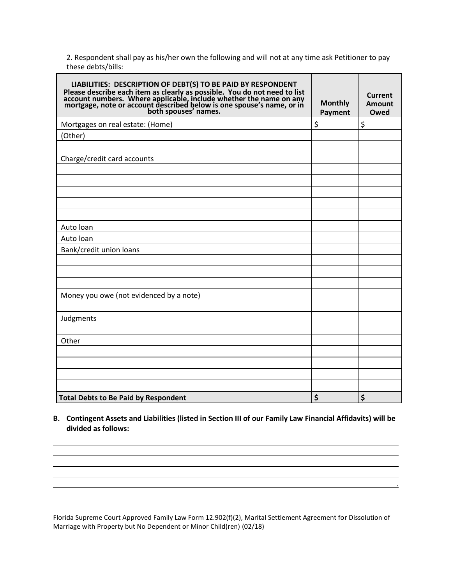2. Respondent shall pay as his/her own the following and will not at any time ask Petitioner to pay these debts/bills:

| LIABILITIES: DESCRIPTION OF DEBT(S) TO BE PAID BY RESPONDENT<br>Please describe each item as clearly as possible. You do not need to list<br>account numbers. Where applicable, include whether the name on any<br>mortgage, note or account described below is one spouse's name, or in<br>both spouse | <b>Monthly</b><br><b>Payment</b> | <b>Current</b><br><b>Amount</b><br>Owed |
|---------------------------------------------------------------------------------------------------------------------------------------------------------------------------------------------------------------------------------------------------------------------------------------------------------|----------------------------------|-----------------------------------------|
| Mortgages on real estate: (Home)                                                                                                                                                                                                                                                                        | \$                               | \$                                      |
| (Other)                                                                                                                                                                                                                                                                                                 |                                  |                                         |
|                                                                                                                                                                                                                                                                                                         |                                  |                                         |
| Charge/credit card accounts                                                                                                                                                                                                                                                                             |                                  |                                         |
|                                                                                                                                                                                                                                                                                                         |                                  |                                         |
|                                                                                                                                                                                                                                                                                                         |                                  |                                         |
|                                                                                                                                                                                                                                                                                                         |                                  |                                         |
|                                                                                                                                                                                                                                                                                                         |                                  |                                         |
|                                                                                                                                                                                                                                                                                                         |                                  |                                         |
| Auto loan                                                                                                                                                                                                                                                                                               |                                  |                                         |
| Auto Ioan                                                                                                                                                                                                                                                                                               |                                  |                                         |
| Bank/credit union loans                                                                                                                                                                                                                                                                                 |                                  |                                         |
|                                                                                                                                                                                                                                                                                                         |                                  |                                         |
|                                                                                                                                                                                                                                                                                                         |                                  |                                         |
|                                                                                                                                                                                                                                                                                                         |                                  |                                         |
| Money you owe (not evidenced by a note)                                                                                                                                                                                                                                                                 |                                  |                                         |
|                                                                                                                                                                                                                                                                                                         |                                  |                                         |
| Judgments                                                                                                                                                                                                                                                                                               |                                  |                                         |
|                                                                                                                                                                                                                                                                                                         |                                  |                                         |
| Other                                                                                                                                                                                                                                                                                                   |                                  |                                         |
|                                                                                                                                                                                                                                                                                                         |                                  |                                         |
|                                                                                                                                                                                                                                                                                                         |                                  |                                         |
|                                                                                                                                                                                                                                                                                                         |                                  |                                         |
|                                                                                                                                                                                                                                                                                                         |                                  |                                         |
| <b>Total Debts to Be Paid by Respondent</b>                                                                                                                                                                                                                                                             | \$                               | \$                                      |

**B. Contingent Assets and Liabilities (listed in Section III of our Family Law Financial Affidavits) will be divided as follows:**

Florida Supreme Court Approved Family Law Form 12.902(f)(2), Marital Settlement Agreement for Dissolution of Marriage with Property but No Dependent or Minor Child(ren) (02/18)

.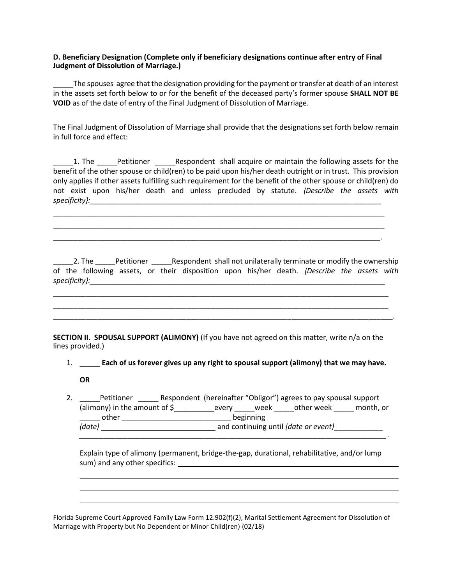#### **D. Beneficiary Designation (Complete only if beneficiary designations continue after entry of Final Judgment of Dissolution of Marriage.)**

The spouses agree that the designation providing for the payment or transfer at death of an interest in the assets set forth below to or for the benefit of the deceased party's former spouse **SHALL NOT BE VOID** as of the date of entry of the Final Judgment of Dissolution of Marriage.

The Final Judgment of Dissolution of Marriage shall provide that the designations set forth below remain in full force and effect:

1. The Petitioner Bespondent shall acquire or maintain the following assets for the benefit of the other spouse or child(ren) to be paid upon his/her death outright or in trust. This provision only applies if other assets fulfilling such requirement for the benefit of the other spouse or child(ren) do not exist upon his/her death and unless precluded by statute. *{Describe the assets with specificity}:\_\_\_\_\_\_\_\_\_\_\_\_\_\_\_\_\_\_\_\_\_\_\_\_\_\_\_\_\_\_\_\_\_\_\_\_\_\_\_\_\_\_\_\_\_\_\_\_\_\_\_\_\_\_\_\_\_\_\_\_\_\_\_\_\_\_\_\_\_\_\_\_*

\_\_\_\_\_\_\_\_\_\_\_\_\_\_\_\_\_\_\_\_\_\_\_\_\_\_\_\_\_\_\_\_\_\_\_\_\_\_\_\_\_\_\_\_\_\_\_\_\_\_\_\_\_\_\_\_\_\_\_\_\_\_\_\_\_\_\_\_\_\_\_\_\_\_\_\_\_\_\_\_\_\_ \_\_\_\_\_\_\_\_\_\_\_\_\_\_\_\_\_\_\_\_\_\_\_\_\_\_\_\_\_\_\_\_\_\_\_\_\_\_\_\_\_\_\_\_\_\_\_\_\_\_\_\_\_\_\_\_\_\_\_\_\_\_\_\_\_\_\_\_\_\_\_\_\_\_\_\_\_\_\_\_\_\_ \_\_\_\_\_\_\_\_\_\_\_\_\_\_\_\_\_\_\_\_\_\_\_\_\_\_\_\_\_\_\_\_\_\_\_\_\_\_\_\_\_\_\_\_\_\_\_\_\_\_\_\_\_\_\_\_\_\_\_\_\_\_\_\_\_\_\_\_\_\_\_\_\_\_\_\_\_\_\_\_\_.

2. The Petitioner Respondent shall not unilaterally terminate or modify the ownership of the following assets, or their disposition upon his/her death. *{Describe the assets with specificity}:\_\_\_\_\_\_\_\_\_\_\_\_\_\_\_\_\_\_\_\_\_\_\_\_\_\_\_\_\_\_\_\_\_\_\_\_\_\_\_\_\_\_\_\_\_\_\_\_\_\_\_\_\_\_\_\_\_\_\_\_\_\_\_\_\_\_\_\_\_\_\_\_\_*

**SECTION II. SPOUSAL SUPPORT (ALIMONY)** (If you have not agreed on this matter, write n/a on the lines provided.)

\_\_\_\_\_\_\_\_\_\_\_\_\_\_\_\_\_\_\_\_\_\_\_\_\_\_\_\_\_\_\_\_\_\_\_\_\_\_\_\_\_\_\_\_\_\_\_\_\_\_\_\_\_\_\_\_\_\_\_\_\_\_\_\_\_\_\_\_\_\_\_\_\_\_\_\_\_\_\_\_\_\_\_ \_\_\_\_\_\_\_\_\_\_\_\_\_\_\_\_\_\_\_\_\_\_\_\_\_\_\_\_\_\_\_\_\_\_\_\_\_\_\_\_\_\_\_\_\_\_\_\_\_\_\_\_\_\_\_\_\_\_\_\_\_\_\_\_\_\_\_\_\_\_\_\_\_\_\_\_\_\_\_\_\_\_\_ \_\_\_\_\_\_\_\_\_\_\_\_\_\_\_\_\_\_\_\_\_\_\_\_\_\_\_\_\_\_\_\_\_\_\_\_\_\_\_\_\_\_\_\_\_\_\_\_\_\_\_\_\_\_\_\_\_\_\_\_\_\_\_\_\_\_\_\_\_\_\_\_\_\_\_\_\_\_\_\_\_\_\_\_.

1. \_\_\_\_\_ **Each of us forever gives up any right to spousal support (alimony) that we may have.**

**OR**

| 2. | Petitioner |                                    |       |           | Respondent (hereinafter "Obligor") agrees to pay spousal support |           |
|----|------------|------------------------------------|-------|-----------|------------------------------------------------------------------|-----------|
|    |            | (alimony) in the amount of $\zeta$ | every | week      | other week                                                       | month, or |
|    | other      |                                    |       | beginning |                                                                  |           |
|    | {date}     |                                    |       |           | and continuing until <i>{date or event}</i>                      |           |
|    |            |                                    |       |           |                                                                  |           |

Explain type of alimony (permanent, bridge-the-gap, durational, rehabilitative, and/or lump sum) and any other specifics: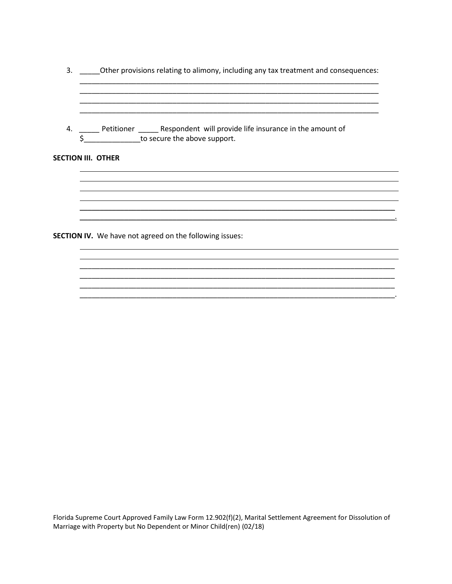| 4. | Petitioner _______ Respondent will provide life insurance in the amount of<br>to secure the above support. |
|----|------------------------------------------------------------------------------------------------------------|
|    |                                                                                                            |
|    | <b>SECTION III. OTHER</b>                                                                                  |

\_\_\_\_\_\_\_\_\_\_\_\_\_\_\_\_\_\_\_\_\_\_\_\_\_\_\_\_\_\_\_\_\_\_\_\_\_\_\_\_\_\_\_\_\_\_\_\_\_\_\_\_\_\_\_\_\_\_\_\_\_\_\_\_\_\_\_\_\_\_\_\_\_\_\_\_\_\_ \_\_\_\_\_\_\_\_\_\_\_\_\_\_\_\_\_\_\_\_\_\_\_\_\_\_\_\_\_\_\_\_\_\_\_\_\_\_\_\_\_\_\_\_\_\_\_\_\_\_\_\_\_\_\_\_\_\_\_\_\_\_\_\_\_\_\_\_\_\_\_\_\_\_\_\_\_\_

\_\_\_\_\_\_\_\_\_\_\_\_\_\_\_\_\_\_\_\_\_\_\_\_\_\_\_\_\_\_\_\_\_\_\_\_\_\_\_\_\_\_\_\_\_\_\_\_\_\_\_\_\_\_\_\_\_\_\_\_\_\_\_\_\_\_\_\_\_\_\_\_\_\_\_\_\_\_.

**SECTION IV.** We have not agreed on the following issues: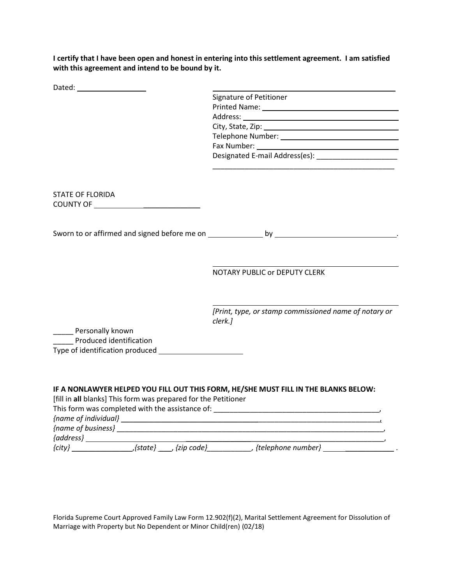**I certify that I have been open and honest in entering into this settlement agreement. I am satisfied with this agreement and intend to be bound by it.**

| Dated: <u>_______________</u>                                                                                                                                                                                                        |                                                                                     |
|--------------------------------------------------------------------------------------------------------------------------------------------------------------------------------------------------------------------------------------|-------------------------------------------------------------------------------------|
|                                                                                                                                                                                                                                      | Signature of Petitioner                                                             |
|                                                                                                                                                                                                                                      |                                                                                     |
|                                                                                                                                                                                                                                      |                                                                                     |
|                                                                                                                                                                                                                                      |                                                                                     |
|                                                                                                                                                                                                                                      |                                                                                     |
|                                                                                                                                                                                                                                      |                                                                                     |
|                                                                                                                                                                                                                                      |                                                                                     |
|                                                                                                                                                                                                                                      |                                                                                     |
|                                                                                                                                                                                                                                      |                                                                                     |
|                                                                                                                                                                                                                                      |                                                                                     |
| <b>STATE OF FLORIDA</b>                                                                                                                                                                                                              |                                                                                     |
| <b>COUNTY OF THE COUNTY OF THE COUNTY OF THE COUNTY OF THE COUNTY OF THE COUNTY OF THE COUNTY OF THE COUNTY OF THE COUNTY OF THE COUNTY OF THE COUNTY OF THE COUNTY OF THE COUNTY OF THE COUNTY OF THE COUNTY OF THE COUNTY OF T</b> |                                                                                     |
|                                                                                                                                                                                                                                      |                                                                                     |
|                                                                                                                                                                                                                                      |                                                                                     |
|                                                                                                                                                                                                                                      |                                                                                     |
|                                                                                                                                                                                                                                      |                                                                                     |
|                                                                                                                                                                                                                                      |                                                                                     |
|                                                                                                                                                                                                                                      | NOTARY PUBLIC or DEPUTY CLERK                                                       |
|                                                                                                                                                                                                                                      |                                                                                     |
|                                                                                                                                                                                                                                      |                                                                                     |
|                                                                                                                                                                                                                                      |                                                                                     |
|                                                                                                                                                                                                                                      | [Print, type, or stamp commissioned name of notary or                               |
|                                                                                                                                                                                                                                      | clerk.]                                                                             |
| Personally known<br>$\overline{\phantom{a}}$                                                                                                                                                                                         |                                                                                     |
| Produced identification                                                                                                                                                                                                              |                                                                                     |
|                                                                                                                                                                                                                                      |                                                                                     |
|                                                                                                                                                                                                                                      |                                                                                     |
|                                                                                                                                                                                                                                      |                                                                                     |
|                                                                                                                                                                                                                                      |                                                                                     |
|                                                                                                                                                                                                                                      | IF A NONLAWYER HELPED YOU FILL OUT THIS FORM, HE/SHE MUST FILL IN THE BLANKS BELOW: |
| [fill in all blanks] This form was prepared for the Petitioner                                                                                                                                                                       |                                                                                     |
|                                                                                                                                                                                                                                      |                                                                                     |
|                                                                                                                                                                                                                                      | ${ \qquad \qquad \{name of individual\}}$                                           |
|                                                                                                                                                                                                                                      |                                                                                     |
|                                                                                                                                                                                                                                      | the contract of the contract of the contract of                                     |
|                                                                                                                                                                                                                                      |                                                                                     |